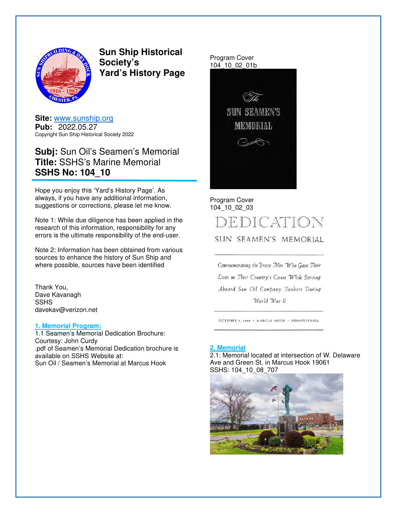

**Sun Ship Historical Society's Yard's History Page** 

**Site:** www.sunship.org **Pub:** 2022.05.27 Copyright Sun Ship Historical Society 2022

# **Subj:** Sun Oil's Seamen's Memorial **Title:** SSHS's Marine Memorial **SSHS No: 104\_10**

Hope you enjoy this 'Yard's History Page'. As always, if you have any additional information, suggestions or corrections, please let me know.

Note 1: While due diligence has been applied in the research of this information, responsibility for any errors is the ultimate responsibility of the end-user.

Note 2: Information has been obtained from various sources to enhance the history of Sun Ship and where possible, sources have been identified

Thank You, Dave Kavanagh SSHS davekav@verizon.net

#### **1. Memorial Program:**

1.1 Seamen's Memorial Dedication Brochure: Courtesy: John Curdy .pdf of Seamen's Memorial Dedication brochure is available on SSHS Website at: Sun Oil / Seamen's Memorial at Marcus Hook

Program Cover 104\_10\_02\_01b



Program Cover 104\_10\_02\_03

# DEDICATION

SUN SEAMEN'S MEMORIAL

Commemorating the Brave Men Who Gave Their Lives in Their Country's Cause While Serving Aboard Sun Oil Company Tankers During World War II

OCTOBER 8, 1949 . MARCUS HOOK . PENNSYLVANIA

#### **2. Memorial**

2.1: Memorial located at intersection of W. Delaware Ave and Green St. in Marcus Hook 19061 SSHS: 104\_10\_08\_707

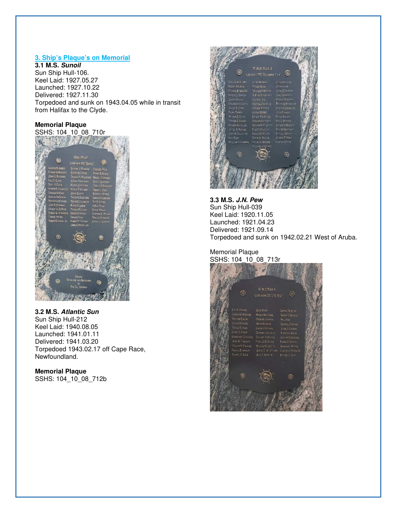# **3. Ship's Plaque's on Memorial**

**3.1 M.S. Sunoil** Sun Ship Hull-106. Keel Laid: 1927.05.27 Launched: 1927.10.22 Delivered: 1927.11.30 Torpedoed and sunk on 1943.04.05 while in transit from Halifax to the Clyde.

# **Memorial Plaque**



**3.2 M.S. Atlantic Sun**  Sun Ship Hull-212 Keel Laid: 1940.08.05 Launched: 1941.01.11 Delivered: 1941.03.20 Torpedoed 1943.02.17 off Cape Race, Newfoundland.

#### **Memorial Plaque**  SSHS: 104\_10\_08\_712b



**3.3 M.S. J.N. Pew** Sun Ship Hull-039 Keel Laid: 1920.11.05 Launched: 1921.04.23 Delivered: 1921.09.14 Torpedoed and sunk on 1942.02.21 West of Aruba.

Memorial Plaque SSHS: 104\_10\_08\_713r